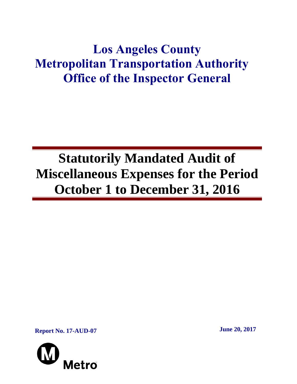## **Los Angeles County Metropolitan Transportation Authority Office of the Inspector General**

# **Statutorily Mandated Audit of Miscellaneous Expenses for the Period October 1 to December 31, 2016**

**Report No. 17-AUD-07 June 20, 2017**

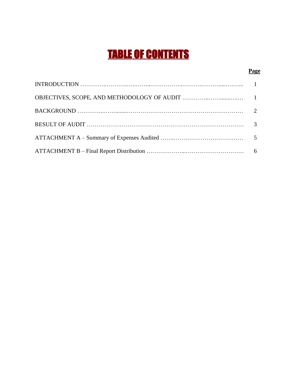## TABLE OF CONTENTS

#### **Page**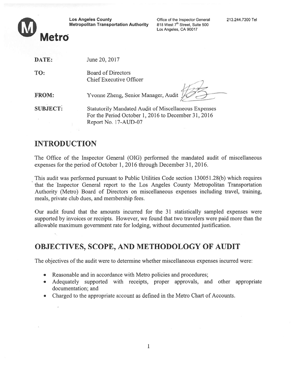I.1

| W | <b>Los Angeles County</b><br><b>Metropolitan Transportation Authority</b> | Office of the Inspector General<br>818 West 7 <sup>th</sup> Street. Suite 500<br>Los Angeles, CA 90017 | 213.244.7300 Te |
|---|---------------------------------------------------------------------------|--------------------------------------------------------------------------------------------------------|-----------------|
|   | <b>Metro</b>                                                              |                                                                                                        |                 |

DATE:

TO:

| June 20, 2017 |  |
|---------------|--|

 Board of Directors Chief Executive Officer

FROM:Yvonne Zheng, Senior Manager, Audit

SUBJECT: Statutorily Mandated Audit of Miscellaneous Expenses For the Period October 1, 2016 to December 31, 2016 Report No. 17-AUD-07

## INTRODUCTION

The Office of the Inspector General (OIG) performed the mandated audit of miscellaneous expenses for the period of October 1, 2016 through December 31, 2016.

This audit was performed pursuan<sup>t</sup> to Public Utilities Code section 130051.28(b) which requires that the Inspector General repor<sup>t</sup> to the Los Angeles County Metropolitan Transportation Authority (Metro) Board of Directors on miscellaneous expenses including travel, training, meals, private club dues, and membership fees.

Our audit found that the amounts incurred for the 31 statistically sampled expenses were supported by invoices or receipts. However, we found that two travelers were paid more than the allowable maximum governmen<sup>t</sup> rate for lodging, without documented justification.

## OBJECTIVES, SCOPE, AND METHODOLOGY OF AUDIT

The objectives of the audit were to determine whether miscellaneous expenses incurred were:

- Reasonable and in accordance with Metro policies and procedures
- . Adequately supported with receipts, proper approvals, and other appropriate documentation; and
- Charged to the appropriate account as defined in the Metro Chart of Accounts.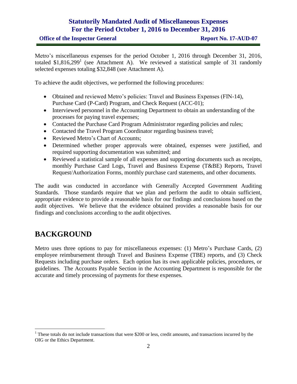#### **Statutorily Mandated Audit of Miscellaneous Expenses For the Period October 1, 2016 to December 31, 2016**

Metro's miscellaneous expenses for the period October 1, 2016 through December 31, 2016, totaled  $$1,816,299$ <sup>1</sup> (see Attachment A). We reviewed a statistical sample of 31 randomly selected expenses totaling \$32,848 (see Attachment A).

To achieve the audit objectives, we performed the following procedures:

- Obtained and reviewed Metro's policies: Travel and Business Expenses (FIN-14), Purchase Card (P-Card) Program, and Check Request (ACC-01);
- Interviewed personnel in the Accounting Department to obtain an understanding of the processes for paying travel expenses;
- Contacted the Purchase Card Program Administrator regarding policies and rules;
- Contacted the Travel Program Coordinator regarding business travel;
- Reviewed Metro's Chart of Accounts;
- Determined whether proper approvals were obtained, expenses were justified, and required supporting documentation was submitted; and
- Reviewed a statistical sample of all expenses and supporting documents such as receipts, monthly Purchase Card Logs, Travel and Business Expense (T&BE) Reports, Travel Request/Authorization Forms, monthly purchase card statements, and other documents.

The audit was conducted in accordance with Generally Accepted Government Auditing Standards. Those standards require that we plan and perform the audit to obtain sufficient, appropriate evidence to provide a reasonable basis for our findings and conclusions based on the audit objectives. We believe that the evidence obtained provides a reasonable basis for our findings and conclusions according to the audit objectives.

## **BACKGROUND**

 $\overline{a}$ 

Metro uses three options to pay for miscellaneous expenses: (1) Metro's Purchase Cards, (2) employee reimbursement through Travel and Business Expense (TBE) reports, and (3) Check Requests including purchase orders. Each option has its own applicable policies, procedures, or guidelines. The Accounts Payable Section in the Accounting Department is responsible for the accurate and timely processing of payments for these expenses.

<sup>&</sup>lt;sup>1</sup> These totals do not include transactions that were \$200 or less, credit amounts, and transactions incurred by the OIG or the Ethics Department.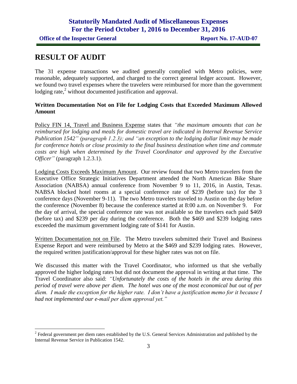### **RESULT OF AUDIT**

 $\overline{a}$ 

The 31 expense transactions we audited generally complied with Metro policies, were reasonable, adequately supported, and charged to the correct general ledger account. However, we found two travel expenses where the travelers were reimbursed for more than the government lodging rate,<sup>2</sup> without documented justification and approval.

#### **Written Documentation Not on File for Lodging Costs that Exceeded Maximum Allowed Amount**

Policy FIN 14, Travel and Business Expense states that *"the maximum amounts that can be reimbursed for lodging and meals for domestic travel are indicated in Internal Revenue Service Publication 1542" (paragraph 1.2.3); and "an exception to the lodging dollar limit may be made for conference hotels or close proximity to the final business destination when time and commute costs are high when determined by the Travel Coordinator and approved by the Executive Officer"* (paragraph 1.2.3.1).

Lodging Costs Exceeds Maximum Amount. Our review found that two Metro travelers from the Executive Office Strategic Initiatives Department attended the North American Bike Share Association (NABSA) annual conference from November 9 to 11, 2016, in Austin, Texas. NABSA blocked hotel rooms at a special conference rate of \$239 (before tax) for the 3 conference days (November 9-11). The two Metro travelers traveled to Austin on the day before the conference (November 8) because the conference started at 8:00 a.m. on November 9. For the day of arrival, the special conference rate was not available so the travelers each paid \$469 (before tax) and \$239 per day during the conference. Both the \$469 and \$239 lodging rates exceeded the maximum government lodging rate of \$141 for Austin.

Written Documentation not on File. The Metro travelers submitted their Travel and Business Expense Report and were reimbursed by Metro at the \$469 and \$239 lodging rates. However, the required written justification/approval for these higher rates was not on file.

We discussed this matter with the Travel Coordinator, who informed us that she verbally approved the higher lodging rates but did not document the approval in writing at that time. The Travel Coordinator also said: *"Unfortunately the costs of the hotels in the area during this period of travel were above per diem. The hotel was one of the most economical but out of per diem. I made the exception for the higher rate. I don't have a justification memo for it because I had not implemented our e-mail per diem approval yet."*

<sup>&</sup>lt;sup>2</sup> Federal government per diem rates established by the U.S. General Services Administration and published by the Internal Revenue Service in Publication 1542.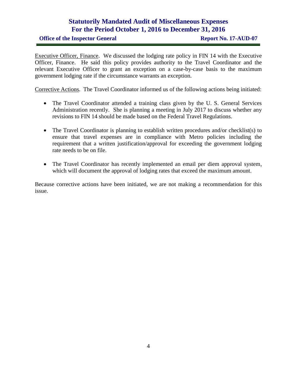#### **Statutorily Mandated Audit of Miscellaneous Expenses For the Period October 1, 2016 to December 31, 2016**

Executive Officer, Finance. We discussed the lodging rate policy in FIN 14 with the Executive Officer, Finance. He said this policy provides authority to the Travel Coordinator and the relevant Executive Officer to grant an exception on a case-by-case basis to the maximum government lodging rate if the circumstance warrants an exception.

Corrective Actions. The Travel Coordinator informed us of the following actions being initiated:

- The Travel Coordinator attended a training class given by the U. S. General Services Administration recently. She is planning a meeting in July 2017 to discuss whether any revisions to FIN 14 should be made based on the Federal Travel Regulations.
- The Travel Coordinator is planning to establish written procedures and/or checklist(s) to ensure that travel expenses are in compliance with Metro policies including the requirement that a written justification/approval for exceeding the government lodging rate needs to be on file.
- The Travel Coordinator has recently implemented an email per diem approval system, which will document the approval of lodging rates that exceed the maximum amount.

Because corrective actions have been initiated, we are not making a recommendation for this issue.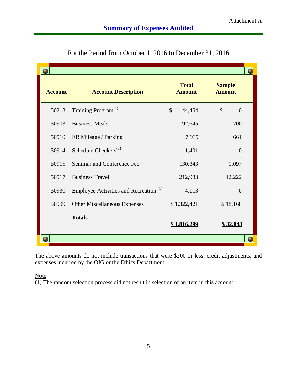| <b>Account</b> | <b>Account Description</b>                        |               | <b>Total</b><br><b>Amount</b> | <b>Sample</b><br><b>Amount</b>  |  |
|----------------|---------------------------------------------------|---------------|-------------------------------|---------------------------------|--|
| 50213          | Training Program <sup>(1)</sup>                   | $\mathcal{S}$ | 44,454                        | $\mathcal{S}$<br>$\overline{0}$ |  |
| 50903          | <b>Business Meals</b>                             |               | 92,645                        | 700                             |  |
| 50910          | ER Mileage / Parking                              |               | 7,939                         | 661                             |  |
| 50914          | Schedule Checkers <sup>(1)</sup>                  |               | 1,401                         | $\theta$                        |  |
| 50915          | Seminar and Conference Fee                        |               | 130,343                       | 1,097                           |  |
| 50917          | <b>Business Travel</b>                            |               | 212,983                       | 12,222                          |  |
| 50930          | Employee Activities and Recreation <sup>(1)</sup> |               | 4,113                         | $\overline{0}$                  |  |
| 50999          | <b>Other Miscellaneous Expenses</b>               |               | \$1,322,421                   | \$18,168                        |  |
|                | <b>Totals</b>                                     |               | \$1,816,299                   | \$32,848                        |  |
|                |                                                   |               |                               |                                 |  |

For the Period from October 1, 2016 to December 31, 2016

The above amounts do not include transactions that were \$200 or less, credit adjustments, and expenses incurred by the OIG or the Ethics Department.

#### Note

(1) The random selection process did not result in selection of an item in this account.